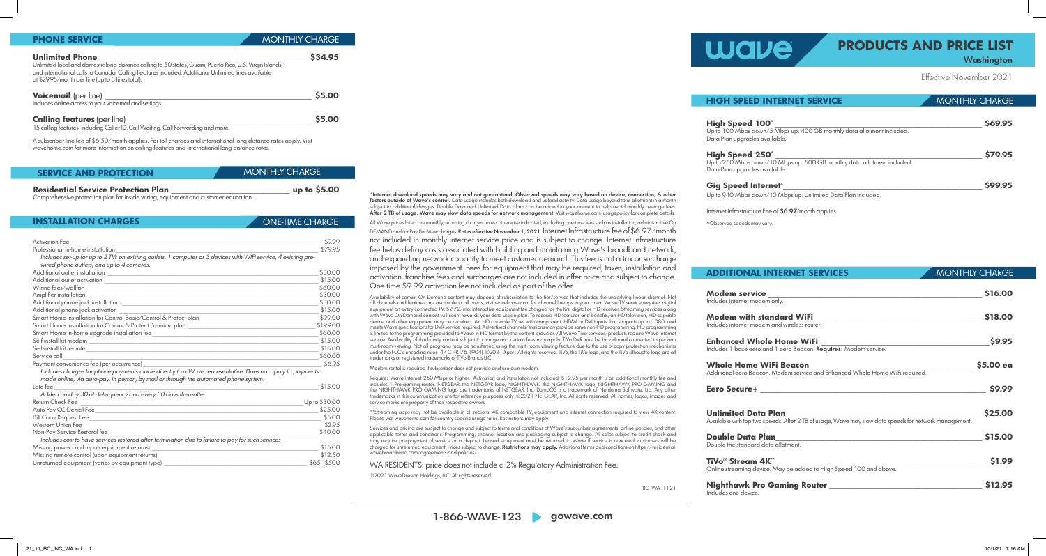Effective November 2021

^Internet download speeds may vary and not guaranteed. Observed speeds may vary based on device, connection, & other factors outside of Wave's control. Data usage includes both download and upload activity. Data usage beyond total allotment in a month subject to additional charges. Double Data and Unlimited Data plans can be added to your account to help avoid monthly overage fees. After 2 TB of usage, Wave may slow data speeds for network management. Visit wavehome.com/usagepolicy for complete details. All Wave prices listed are monthly, recurring charges unless otherwise indicated, excluding one-time fees such as installation, administrative On DEMAND and/or Pay-Per-View charges. Rates effective November 1, 2021. Internet Infrastructure fee of \$6.97/month not included in monthly internet service price and is subject to change. Internet Infrastructure fee helps defray costs associated with building and maintaining Wave's broadband network, and expanding network capacity to meet customer demand. This fee is not a tax or surcharge imposed by the government. Fees for equipment that may be required, taxes, installation and activation, franchise fees and surcharges are not included in offer price and subject to change.

One-time \$9.99 activation fee not included as part of the offer.

Services and pricing are subject to change and subject to terms and conditions of Wave's subscriber agreements, online policies, and other applicable terms and conditions. Programming, channel location and packaging subject to change. All sales subject to credit check and may require pre-payment of service or a deposit. Leased equipment must be returned to Wave if service is canceled; customers will be charged for unreturned equipment. Prices subject to change. Restrictions may apply. Additional terms and conditions on https://residential.

Availability of certain On Demand content may depend of subscription to the tier/service that includes the underlying linear channel. Not all channels and features are available in all areas; visit wavehome.com for channel lineups in your area. Wave TV service requires digital equipment on every connected TV; \$2.72/mo. interactive equipment fee charged for the first digital or HD receiver. Streaming services along with Wave On-Demand content will count towards your data usage plan. To receive HD features and benefits, an HD television, HD-capable device and other equipment may be required. An HD capable TV set with component, HDMI or DVI inputs that supports up to 1080i and meets Wave specifications for DVR service required. Advertised channels/stations may provide some non-HD programming. HD programming is limited to the programming provided to Wave in HD format by the content provider. All Wave TiVo services/products require Wave Internet service. Availability of third-party content subject to change and certain fees may apply. TiVo DVR must be broadband connected to perform multi-room viewing. Not all programs may be transferred using the multi-room viewing feature due to the use of copy protection mechanisms under the FCC's encoding rules (47 C.F.R. 76 1904). ©2021 Xperi. All rights reserved. TiVo, the TiVo logo, and the TiVo silhouette logo are all

# **Washington PRODUCTS AND PRICE LIST**

**Modem service \_\_\_\_\_\_\_\_\_\_\_\_\_\_\_\_\_\_\_\_\_\_\_\_\_\_\_\_\_\_\_\_\_\_\_\_\_\_\_\_\_\_\_\_\_\_\_\_\_\_\_\_\_\_\_\_ \$16.00** Includes internet mode

**Modem with std** Includes internet moder

**Enhanced Whol** Includes 1 base eero and

**Whole Home W** Additional eero Beacor

trademarks or registered trademarks of TiVo Brands LLC.

Modem rental is required if subscriber does not provide and use own modem.

Requires Wave internet 250 Mbps or higher. Activation and installation not included. \$12.95 per month is an additional monthly fee and includes 1 Pro-gaming router. NETGEAR, the NETGEAR logo, NIGHTHAWK, the NIGHTHAWK logo, NIGHTHAWK PRO GAMING and the NIGHTHAWK PRO GAMING logo are trademarks of NETGEAR, Inc. DumaOS is a trademark of Netduma Software, Ltd. Any other trademarks in this communication are for reference purposes only. ©2021 NETGEAR, Inc. All rights reserved. All names, logos, images and

> **Nighthawk Pro** Includes one device.

service marks are property of their respective owners.

\*\*Streaming apps may not be available in all regions. 4K compatible TV, equipment and internet connection required to view 4K content.

Please visit wavehome.com for country-specific usage rates. Restrictions may apply.

wavebroadband.com/agreements-and-policies/.

WA RESIDENTS: price does not include a 2% Regulatory Administration Fee.

©2021 WaveDivision Holdings, LLC. All rights reserved.

RC\_WA\_1121

**PHONE SERVICE**

| <b>INSTALLATION CHARGES</b> | ONE-TIME CHARGE |
|-----------------------------|-----------------|
|                             |                 |

MONTHLY CHARGE

| <b>NTERNET SERVICE</b>                                                                      | <b>MONTHLY CHARGE</b> |
|---------------------------------------------------------------------------------------------|-----------------------|
| 0^<br>1/5 Mbps up. 400 GB monthly data allotment included.<br>vailable.                     | \$69.95               |
| $\mathbf{O}^{\wedge}$<br>1/10 Mbps up. 500 GB monthly data allotment included.<br>vailable. | \$79.95               |
| rneť^<br>1/10 Mbps up. Unlimited Data Plan included.                                        | \$99.95               |

Internet Infrastructure Fee of \$6.97/month applies.

| INIEKNEI JEKVILEJ                                                             | <b><i>I</i>VIOINTELY CHARGE</b> |
|-------------------------------------------------------------------------------|---------------------------------|
|                                                                               |                                 |
| n<br>m only.                                                                  | \$16.00                         |
|                                                                               |                                 |
| andard WiFi___                                                                | \$18.00                         |
| m and wireless router.                                                        |                                 |
| le Home WiFi                                                                  | \$9.95                          |
|                                                                               |                                 |
|                                                                               | $$5.00$ ea                      |
| ViFi Beacon<br>n. Modem service and Enhanced Whole Home WiFi required.        |                                 |
|                                                                               | \$9.99                          |
|                                                                               |                                 |
| Plan                                                                          | \$25.00                         |
| peeds. After 2 TB of usage, Wave may slow data speeds for network management. |                                 |
| an an                                                                         | \$15.00                         |
| ata allotment.                                                                |                                 |
| $\mathbf{K}^{**}$                                                             | \$1.99                          |
| e. May be added to High Speed 100 and above.                                  |                                 |
|                                                                               |                                 |
| <b>Gaming Router</b>                                                          | \$12.95                         |

^Observed speeds may vary.

## **ADDITIONAL**

**Eero Secure+ \_\_\_\_\_\_\_\_\_\_\_\_\_\_\_\_\_\_\_\_\_\_\_\_\_\_\_\_\_\_\_\_\_\_\_\_\_\_\_\_\_\_\_\_\_\_\_\_\_\_\_\_\_\_\_\_\_\_\_ \$9.99**

**Unlimited Data** Available with top two sp

**Double Data Plan** Double the standard de

**TiVo® Stream 4** Online streaming devic

| <b>Activation Fee</b>                                                                                           | \$9.99        |
|-----------------------------------------------------------------------------------------------------------------|---------------|
| Professional in-home installation                                                                               | \$79.95       |
| Includes set-up for up to 2 TVs on existing outlets, 1 computer or 3 devices with WiFi service, 4 existing pre- |               |
| wired phone outlets, and up to 4 cameras.                                                                       |               |
|                                                                                                                 | \$30.00       |
| Additional outlet activation <b>contracts</b>                                                                   | \$15.00       |
|                                                                                                                 | \$60.00       |
| Amplifier installation<br><u> 1989 - Johann Barn, amerikansk politiker (d. 1989)</u>                            | \$30.00       |
|                                                                                                                 | \$30.00       |
|                                                                                                                 | \$15.00       |
| Smart Home installation for Control Basic/Control & Protect plan                                                | \$99.00       |
| Smart Home installation for Control & Protect Premium plan ______________________                               | \$199.00      |
|                                                                                                                 | \$60,00       |
|                                                                                                                 | \$15.00       |
|                                                                                                                 | \$15.00       |
| Service call                                                                                                    | \$60.00       |
| Payment convenience fee (per occurrence)_                                                                       | \$6.95        |
| Includes charges for phone payments made directly to a Wave representative. Does not apply to payments          |               |
| made online, via auto-pay, in person, by mail or through the automated phone system.                            |               |
| Late fee                                                                                                        | \$15.00       |
| Added on day 30 of delinquency and every 30 days thereafter                                                     |               |
| Return Check Fee                                                                                                | Up to \$30.00 |
|                                                                                                                 | \$25.00       |
|                                                                                                                 | \$5.00        |
|                                                                                                                 | \$2.95        |
| Non-Pay Service Restoral fee                                                                                    | \$40.00       |
| Includes cost to have services restored after termination due to failure to pay for such services               |               |
|                                                                                                                 | \$15.00       |
| Missing remote control (upon equipment returns)_________________________________                                | \$12.50       |
| Unreturned equipment (varies by equipment type) ________________________________                                | $$65 - $500$  |

## **HIGH SPEED**

**High Speed 10** Up to 100 Mbps down Data Plan upgrades av

**High Speed 25** Up to 250 Mbps down Data Plan upgrades av

**Gig Speed Inter** 

Up to 940 Mbps down

| <b>Unlimited Phone</b>                                                                                                                                                                                                                                             | S34.95       |
|--------------------------------------------------------------------------------------------------------------------------------------------------------------------------------------------------------------------------------------------------------------------|--------------|
| Unlimited local and domestic long-distance calling to 50 states, Guam, Puerto Rico, U.S. Virgin Islands,<br>and international calls to Canada. Calling Features included. Additional Unlimited lines available<br>at \$29.95/month per line (up to 3 lines total). |              |
| Voicemail (per line) _____                                                                                                                                                                                                                                         | <b>S5.00</b> |
| Includes online access to your voicemail and settings.                                                                                                                                                                                                             |              |
| <b>Calling features (per line)</b>                                                                                                                                                                                                                                 | <b>S5.00</b> |
| 15 calling features, including Caller ID, Call Waiting, Call Forwarding and more.                                                                                                                                                                                  |              |

MONTHIY CHARGE

A subscriber line fee of \$6.50/month applies. Per toll charges and international long-distance rates apply. Visit wavehome.com for more information on calling features and international long-distance rates.

| <b>SERVICE AND PROTECTION</b>              | I MONTHLY CHARGE ' |
|--------------------------------------------|--------------------|
| <b>Residential Service Protection Plan</b> | up to $$5.00$      |

Comprehensive protection plan for inside wiring, equipment and customer education.